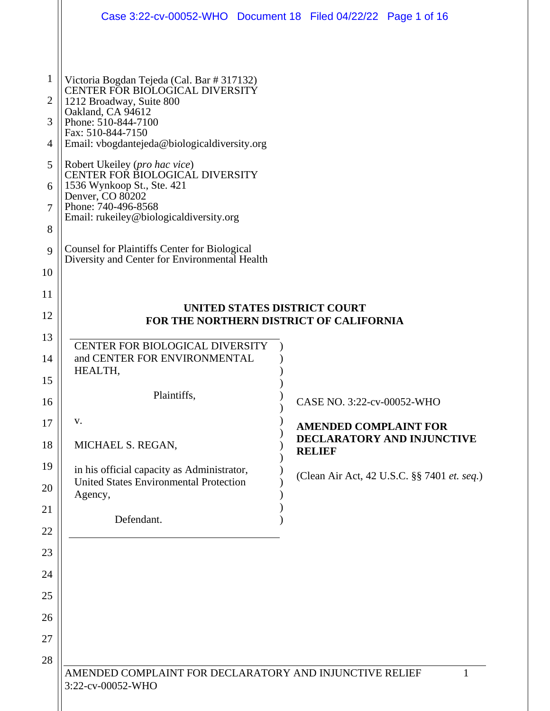|                | Case 3:22-cv-00052-WHO  Document 18  Filed 04/22/22  Page 1 of 16                                    |  |                              |                                             |  |  |
|----------------|------------------------------------------------------------------------------------------------------|--|------------------------------|---------------------------------------------|--|--|
|                |                                                                                                      |  |                              |                                             |  |  |
| 1              | Victoria Bogdan Tejeda (Cal. Bar # 317132)                                                           |  |                              |                                             |  |  |
| $\overline{2}$ | CENTER FOR BIOLOGICAL DIVERSITY<br>1212 Broadway, Suite 800                                          |  |                              |                                             |  |  |
| 3              | Oakland, CA 94612<br>Phone: 510-844-7100                                                             |  |                              |                                             |  |  |
| 4              | Fax: 510-844-7150<br>Email: vbogdantejeda@biologicaldiversity.org                                    |  |                              |                                             |  |  |
| 5              | Robert Ukeiley (pro hac vice)<br>CENTER FOR BIOLOGICAL DIVERSITY                                     |  |                              |                                             |  |  |
| 6              | 1536 Wynkoop St., Ste. 421                                                                           |  |                              |                                             |  |  |
| 7              | Denver, CO 80202<br>Phone: 740-496-8568                                                              |  |                              |                                             |  |  |
| 8              | Email: rukeiley@biologicaldiversity.org                                                              |  |                              |                                             |  |  |
| 9              | <b>Counsel for Plaintiffs Center for Biological</b><br>Diversity and Center for Environmental Health |  |                              |                                             |  |  |
| 10             |                                                                                                      |  |                              |                                             |  |  |
| 11             |                                                                                                      |  |                              |                                             |  |  |
| 12             | UNITED STATES DISTRICT COURT<br>FOR THE NORTHERN DISTRICT OF CALIFORNIA                              |  |                              |                                             |  |  |
| 13             |                                                                                                      |  |                              |                                             |  |  |
| 14             | CENTER FOR BIOLOGICAL DIVERSITY<br>and CENTER FOR ENVIRONMENTAL                                      |  |                              |                                             |  |  |
| 15             | HEALTH,                                                                                              |  |                              |                                             |  |  |
| 16             | Plaintiffs,                                                                                          |  | CASE NO. 3:22-cv-00052-WHO   |                                             |  |  |
| 17             | V.                                                                                                   |  | <b>AMENDED COMPLAINT FOR</b> |                                             |  |  |
| 18             | MICHAEL S. REGAN,                                                                                    |  | <b>RELIEF</b>                | DECLARATORY AND INJUNCTIVE                  |  |  |
| 19             | in his official capacity as Administrator,                                                           |  |                              | (Clean Air Act, 42 U.S.C. §§ 7401 et. seq.) |  |  |
| 20             | <b>United States Environmental Protection</b><br>Agency,                                             |  |                              |                                             |  |  |
| 21             | Defendant.                                                                                           |  |                              |                                             |  |  |
| 22<br>23       |                                                                                                      |  |                              |                                             |  |  |
| 24             |                                                                                                      |  |                              |                                             |  |  |
| 25             |                                                                                                      |  |                              |                                             |  |  |
| 26             |                                                                                                      |  |                              |                                             |  |  |
| 27             |                                                                                                      |  |                              |                                             |  |  |
| 28             |                                                                                                      |  |                              |                                             |  |  |
|                | AMENDED COMPLAINT FOR DECLARATORY AND INJUNCTIVE RELIEF<br>3:22-cv-00052-WHO                         |  |                              | 1                                           |  |  |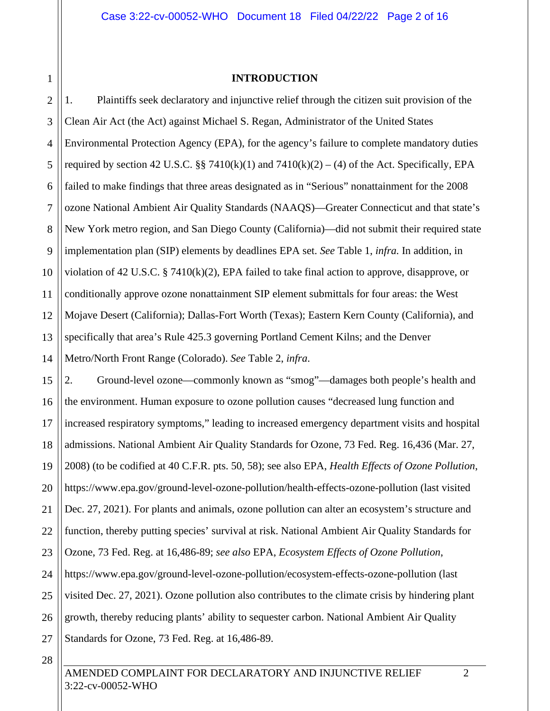1 2

#### **INTRODUCTION**

3 4 5 6 7 8 9 10 11 12 13 14 1. Plaintiffs seek declaratory and injunctive relief through the citizen suit provision of the Clean Air Act (the Act) against Michael S. Regan, Administrator of the United States Environmental Protection Agency (EPA), for the agency's failure to complete mandatory duties required by section 42 U.S.C. §§ 7410(k)(1) and  $7410(k)(2) - (4)$  of the Act. Specifically, EPA failed to make findings that three areas designated as in "Serious" nonattainment for the 2008 ozone National Ambient Air Quality Standards (NAAQS)—Greater Connecticut and that state's New York metro region, and San Diego County (California)—did not submit their required state implementation plan (SIP) elements by deadlines EPA set. *See* Table 1, *infra.* In addition, in violation of 42 U.S.C. § 7410 $(k)(2)$ , EPA failed to take final action to approve, disapprove, or conditionally approve ozone nonattainment SIP element submittals for four areas: the West Mojave Desert (California); Dallas-Fort Worth (Texas); Eastern Kern County (California), and specifically that area's Rule 425.3 governing Portland Cement Kilns; and the Denver Metro/North Front Range (Colorado). *See* Table 2, *infra*.

15 16 17 18 19 20 21 22 23 24 25 26 27 2. Ground-level ozone—commonly known as "smog"—damages both people's health and the environment. Human exposure to ozone pollution causes "decreased lung function and increased respiratory symptoms," leading to increased emergency department visits and hospital admissions. National Ambient Air Quality Standards for Ozone, 73 Fed. Reg. 16,436 (Mar. 27, 2008) (to be codified at 40 C.F.R. pts. 50, 58); see also EPA, *Health Effects of Ozone Pollution*, https://www.epa.gov/ground-level-ozone-pollution/health-effects-ozone-pollution (last visited Dec. 27, 2021). For plants and animals, ozone pollution can alter an ecosystem's structure and function, thereby putting species' survival at risk. National Ambient Air Quality Standards for Ozone, 73 Fed. Reg. at 16,486-89; *see also* EPA, *Ecosystem Effects of Ozone Pollution*, https://www.epa.gov/ground-level-ozone-pollution/ecosystem-effects-ozone-pollution (last visited Dec. 27, 2021). Ozone pollution also contributes to the climate crisis by hindering plant growth, thereby reducing plants' ability to sequester carbon. National Ambient Air Quality Standards for Ozone, 73 Fed. Reg. at 16,486-89.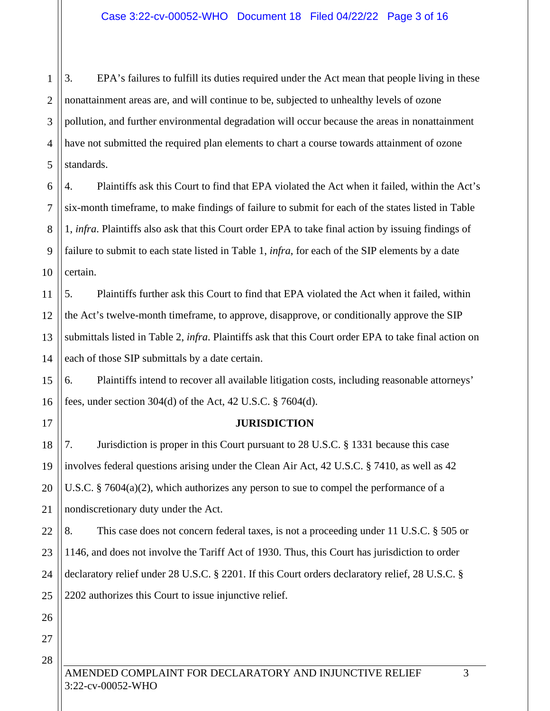1 2 3 4 5 3. EPA's failures to fulfill its duties required under the Act mean that people living in these nonattainment areas are, and will continue to be, subjected to unhealthy levels of ozone pollution, and further environmental degradation will occur because the areas in nonattainment have not submitted the required plan elements to chart a course towards attainment of ozone standards.

6 7 8 9 10 4. Plaintiffs ask this Court to find that EPA violated the Act when it failed, within the Act's six-month timeframe, to make findings of failure to submit for each of the states listed in Table 1, *infra*. Plaintiffs also ask that this Court order EPA to take final action by issuing findings of failure to submit to each state listed in Table 1, *infra*, for each of the SIP elements by a date certain.

11 12 13 14 5. Plaintiffs further ask this Court to find that EPA violated the Act when it failed, within the Act's twelve-month timeframe, to approve, disapprove, or conditionally approve the SIP submittals listed in Table 2, *infra*. Plaintiffs ask that this Court order EPA to take final action on each of those SIP submittals by a date certain.

15 16 6. Plaintiffs intend to recover all available litigation costs, including reasonable attorneys' fees, under section 304(d) of the Act, 42 U.S.C. § 7604(d).

**JURISDICTION** 

18 19 20 21 7. Jurisdiction is proper in this Court pursuant to 28 U.S.C. § 1331 because this case involves federal questions arising under the Clean Air Act, 42 U.S.C. § 7410, as well as 42 U.S.C. § 7604(a)(2), which authorizes any person to sue to compel the performance of a nondiscretionary duty under the Act.

22 23 24 25 8. This case does not concern federal taxes, is not a proceeding under 11 U.S.C. § 505 or 1146, and does not involve the Tariff Act of 1930. Thus, this Court has jurisdiction to order declaratory relief under 28 U.S.C. § 2201. If this Court orders declaratory relief, 28 U.S.C. § 2202 authorizes this Court to issue injunctive relief.

27 28

26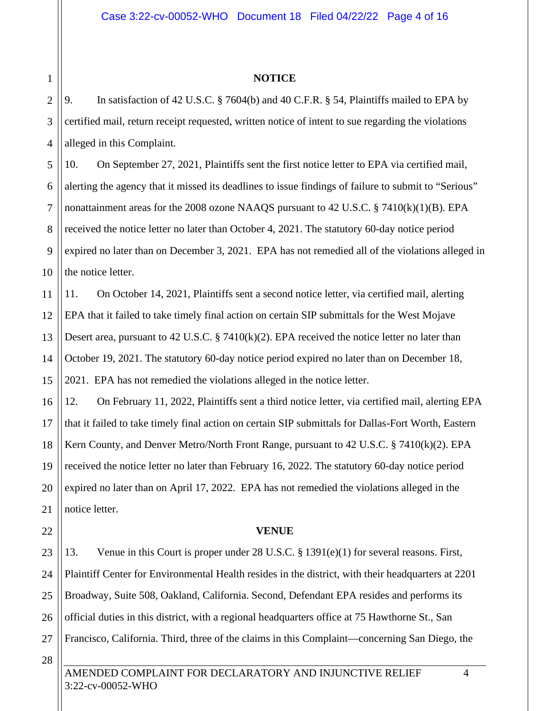# 1 2 3

#### **NOTICE**

4 9. In satisfaction of 42 U.S.C. § 7604(b) and 40 C.F.R. § 54, Plaintiffs mailed to EPA by certified mail, return receipt requested, written notice of intent to sue regarding the violations alleged in this Complaint.

5 6 7 8 9 10 10. On September 27, 2021, Plaintiffs sent the first notice letter to EPA via certified mail, alerting the agency that it missed its deadlines to issue findings of failure to submit to "Serious" nonattainment areas for the 2008 ozone NAAQS pursuant to 42 U.S.C. § 7410 $(k)(1)(B)$ . EPA received the notice letter no later than October 4, 2021. The statutory 60-day notice period expired no later than on December 3, 2021. EPA has not remedied all of the violations alleged in the notice letter.

11 12 13 14 15 11. On October 14, 2021, Plaintiffs sent a second notice letter, via certified mail, alerting EPA that it failed to take timely final action on certain SIP submittals for the West Mojave Desert area, pursuant to 42 U.S.C. § 7410(k)(2). EPA received the notice letter no later than October 19, 2021. The statutory 60-day notice period expired no later than on December 18, 2021. EPA has not remedied the violations alleged in the notice letter.

16 17 18 19 20 21 12. On February 11, 2022, Plaintiffs sent a third notice letter, via certified mail, alerting EPA that it failed to take timely final action on certain SIP submittals for Dallas-Fort Worth, Eastern Kern County, and Denver Metro/North Front Range, pursuant to 42 U.S.C. § 7410(k)(2). EPA received the notice letter no later than February 16, 2022. The statutory 60-day notice period expired no later than on April 17, 2022. EPA has not remedied the violations alleged in the notice letter.

### **VENUE**

23 24 25 26 27 13. Venue in this Court is proper under 28 U.S.C. § 1391(e)(1) for several reasons. First, Plaintiff Center for Environmental Health resides in the district, with their headquarters at 2201 Broadway, Suite 508, Oakland, California. Second, Defendant EPA resides and performs its official duties in this district, with a regional headquarters office at 75 Hawthorne St., San Francisco, California. Third, three of the claims in this Complaint—concerning San Diego, the

28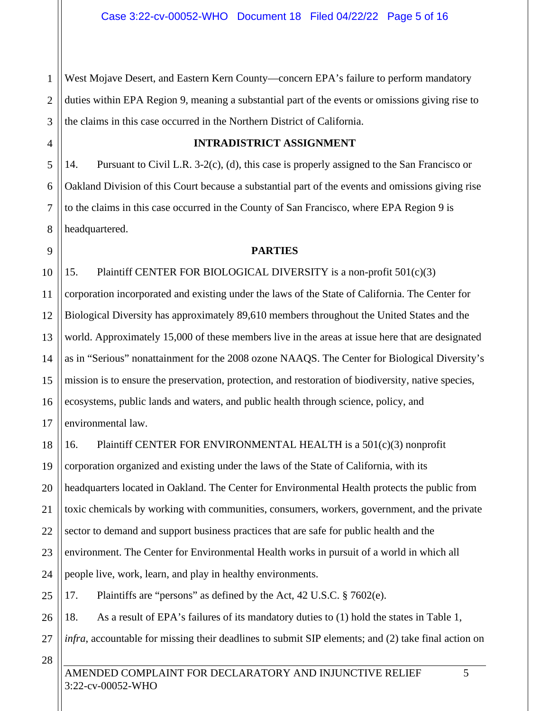1 2 3 West Mojave Desert, and Eastern Kern County—concern EPA's failure to perform mandatory duties within EPA Region 9, meaning a substantial part of the events or omissions giving rise to the claims in this case occurred in the Northern District of California.

## **INTRADISTRICT ASSIGNMENT**

14. Pursuant to Civil L.R. 3-2(c), (d), this case is properly assigned to the San Francisco or Oakland Division of this Court because a substantial part of the events and omissions giving rise to the claims in this case occurred in the County of San Francisco, where EPA Region 9 is headquartered.

#### **PARTIES**

10 11 12 13 14 15 16 17 15. Plaintiff CENTER FOR BIOLOGICAL DIVERSITY is a non-profit 501(c)(3) corporation incorporated and existing under the laws of the State of California. The Center for Biological Diversity has approximately 89,610 members throughout the United States and the world. Approximately 15,000 of these members live in the areas at issue here that are designated as in "Serious" nonattainment for the 2008 ozone NAAQS. The Center for Biological Diversity's mission is to ensure the preservation, protection, and restoration of biodiversity, native species, ecosystems, public lands and waters, and public health through science, policy, and environmental law.

18 19 20 21 22 23 24 16. Plaintiff CENTER FOR ENVIRONMENTAL HEALTH is a 501(c)(3) nonprofit corporation organized and existing under the laws of the State of California, with its headquarters located in Oakland. The Center for Environmental Health protects the public from toxic chemicals by working with communities, consumers, workers, government, and the private sector to demand and support business practices that are safe for public health and the environment. The Center for Environmental Health works in pursuit of a world in which all people live, work, learn, and play in healthy environments.

25 17. Plaintiffs are "persons" as defined by the Act, 42 U.S.C. § 7602(e).

26 18. As a result of EPA's failures of its mandatory duties to (1) hold the states in Table 1,

27 *infra*, accountable for missing their deadlines to submit SIP elements; and (2) take final action on

28

4

5

6

7

8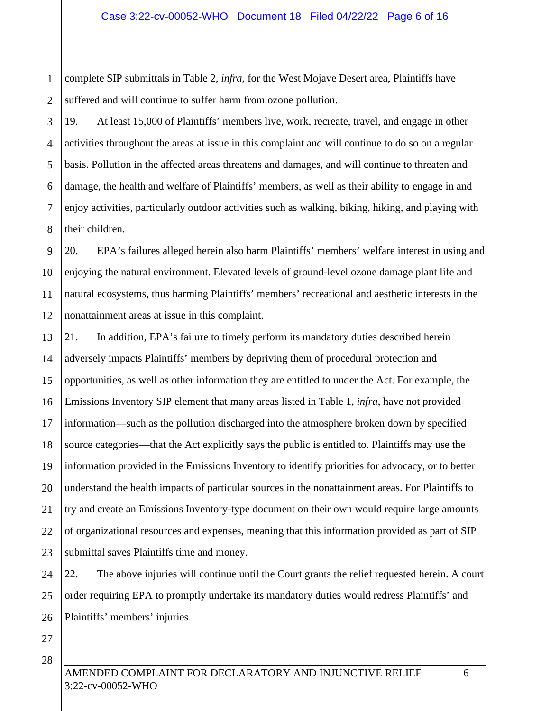1 2 complete SIP submittals in Table 2, *infra*, for the West Mojave Desert area, Plaintiffs have suffered and will continue to suffer harm from ozone pollution.

3 4 5 6 7 8 19. At least 15,000 of Plaintiffs' members live, work, recreate, travel, and engage in other activities throughout the areas at issue in this complaint and will continue to do so on a regular basis. Pollution in the affected areas threatens and damages, and will continue to threaten and damage, the health and welfare of Plaintiffs' members, as well as their ability to engage in and enjoy activities, particularly outdoor activities such as walking, biking, hiking, and playing with their children.

9 10 11 12 20. EPA's failures alleged herein also harm Plaintiffs' members' welfare interest in using and enjoying the natural environment. Elevated levels of ground-level ozone damage plant life and natural ecosystems, thus harming Plaintiffs' members' recreational and aesthetic interests in the nonattainment areas at issue in this complaint.

13 14 15 16 17 18 19 20 21 22 23 21. In addition, EPA's failure to timely perform its mandatory duties described herein adversely impacts Plaintiffs' members by depriving them of procedural protection and opportunities, as well as other information they are entitled to under the Act. For example, the Emissions Inventory SIP element that many areas listed in Table 1, *infra*, have not provided information—such as the pollution discharged into the atmosphere broken down by specified source categories—that the Act explicitly says the public is entitled to. Plaintiffs may use the information provided in the Emissions Inventory to identify priorities for advocacy, or to better understand the health impacts of particular sources in the nonattainment areas. For Plaintiffs to try and create an Emissions Inventory-type document on their own would require large amounts of organizational resources and expenses, meaning that this information provided as part of SIP submittal saves Plaintiffs time and money.

24 25 26 22. The above injuries will continue until the Court grants the relief requested herein. A court order requiring EPA to promptly undertake its mandatory duties would redress Plaintiffs' and Plaintiffs' members' injuries.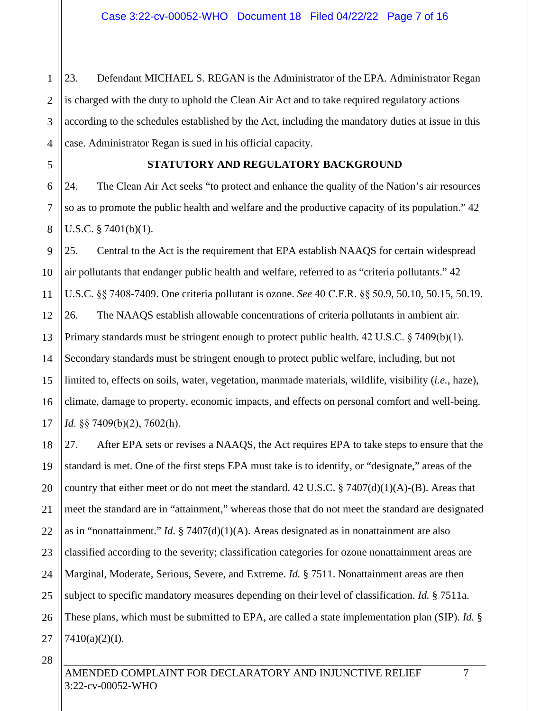1 2 3 4 23. Defendant MICHAEL S. REGAN is the Administrator of the EPA. Administrator Regan is charged with the duty to uphold the Clean Air Act and to take required regulatory actions according to the schedules established by the Act, including the mandatory duties at issue in this case. Administrator Regan is sued in his official capacity.

5

6

7

8

## **STATUTORY AND REGULATORY BACKGROUND**

24. The Clean Air Act seeks "to protect and enhance the quality of the Nation's air resources so as to promote the public health and welfare and the productive capacity of its population." 42 U.S.C. § 7401(b)(1).

9 10 11 12 13 14 15 16 17 25. Central to the Act is the requirement that EPA establish NAAQS for certain widespread air pollutants that endanger public health and welfare, referred to as "criteria pollutants." 42 U.S.C. §§ 7408-7409. One criteria pollutant is ozone. *See* 40 C.F.R. §§ 50.9, 50.10, 50.15, 50.19. 26. The NAAQS establish allowable concentrations of criteria pollutants in ambient air. Primary standards must be stringent enough to protect public health. 42 U.S.C. § 7409(b)(1). Secondary standards must be stringent enough to protect public welfare, including, but not limited to, effects on soils, water, vegetation, manmade materials, wildlife, visibility (*i.e.*, haze), climate, damage to property, economic impacts, and effects on personal comfort and well-being. *Id*. §§ 7409(b)(2), 7602(h).

18 19 20 21 22 23 24 25 26 27 27. After EPA sets or revises a NAAQS, the Act requires EPA to take steps to ensure that the standard is met. One of the first steps EPA must take is to identify, or "designate," areas of the country that either meet or do not meet the standard.  $42$  U.S.C. § 7407(d)(1)(A)-(B). Areas that meet the standard are in "attainment," whereas those that do not meet the standard are designated as in "nonattainment." *Id.* § 7407(d)(1)(A). Areas designated as in nonattainment are also classified according to the severity; classification categories for ozone nonattainment areas are Marginal, Moderate, Serious, Severe, and Extreme. *Id.* § 7511. Nonattainment areas are then subject to specific mandatory measures depending on their level of classification. *Id.* § 7511a. These plans, which must be submitted to EPA, are called a state implementation plan (SIP). *Id.* § 7410(a)(2)(I).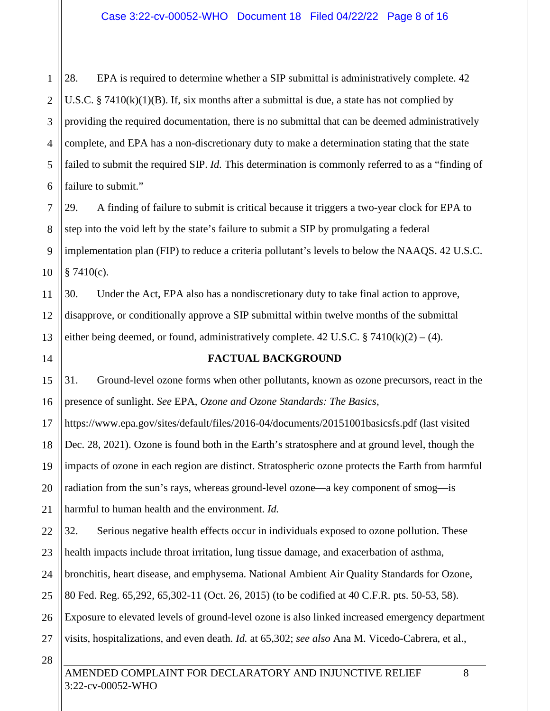1 2 3 4 5 6 28. EPA is required to determine whether a SIP submittal is administratively complete. 42 U.S.C. § 7410 $(k)(1)(B)$ . If, six months after a submittal is due, a state has not complied by providing the required documentation, there is no submittal that can be deemed administratively complete, and EPA has a non-discretionary duty to make a determination stating that the state failed to submit the required SIP. *Id.* This determination is commonly referred to as a "finding of failure to submit."

7 8 9 10 29. A finding of failure to submit is critical because it triggers a two-year clock for EPA to step into the void left by the state's failure to submit a SIP by promulgating a federal implementation plan (FIP) to reduce a criteria pollutant's levels to below the NAAQS. 42 U.S.C.  $§ 7410(c).$ 

11 12 13 30. Under the Act, EPA also has a nondiscretionary duty to take final action to approve, disapprove, or conditionally approve a SIP submittal within twelve months of the submittal either being deemed, or found, administratively complete. 42 U.S.C. § 7410 $(k)(2) - (4)$ .

### **FACTUAL BACKGROUND**

15 16 31. Ground-level ozone forms when other pollutants, known as ozone precursors, react in the presence of sunlight. *See* EPA, *Ozone and Ozone Standards: The Basics*,

17 18 19 20 21 https://www.epa.gov/sites/default/files/2016-04/documents/20151001basicsfs.pdf (last visited Dec. 28, 2021). Ozone is found both in the Earth's stratosphere and at ground level, though the impacts of ozone in each region are distinct. Stratospheric ozone protects the Earth from harmful radiation from the sun's rays, whereas ground-level ozone—a key component of smog—is harmful to human health and the environment. *Id.* 

22 23 24 25 26 27 32. Serious negative health effects occur in individuals exposed to ozone pollution. These health impacts include throat irritation, lung tissue damage, and exacerbation of asthma, bronchitis, heart disease, and emphysema. National Ambient Air Quality Standards for Ozone, 80 Fed. Reg. 65,292, 65,302-11 (Oct. 26, 2015) (to be codified at 40 C.F.R. pts. 50-53, 58). Exposure to elevated levels of ground-level ozone is also linked increased emergency department visits, hospitalizations, and even death. *Id.* at 65,302; *see also* Ana M. Vicedo-Cabrera, et al.,

28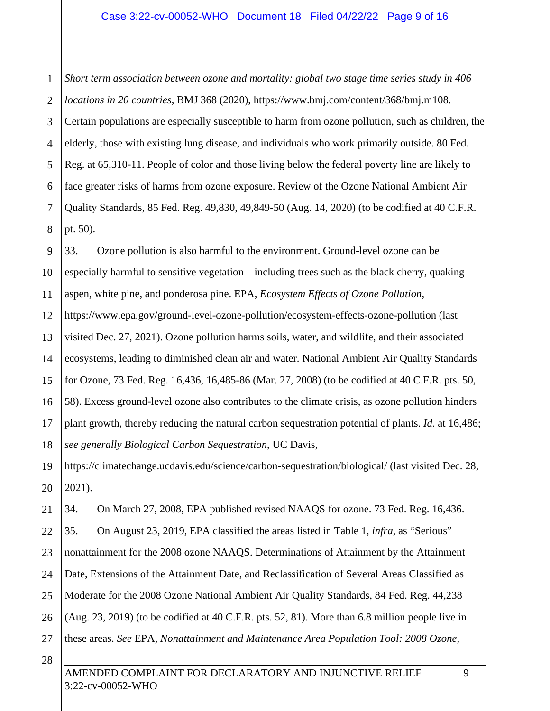1 2 3 4 5 6 7 8 *Short term association between ozone and mortality: global two stage time series study in 406 locations in 20 countries*, BMJ 368 (2020), https://www.bmj.com/content/368/bmj.m108. Certain populations are especially susceptible to harm from ozone pollution, such as children, the elderly, those with existing lung disease, and individuals who work primarily outside. 80 Fed. Reg. at 65,310-11. People of color and those living below the federal poverty line are likely to face greater risks of harms from ozone exposure. Review of the Ozone National Ambient Air Quality Standards, 85 Fed. Reg. 49,830, 49,849-50 (Aug. 14, 2020) (to be codified at 40 C.F.R. pt. 50).

9 10 11 12 13 14 15 16 17 18 33. Ozone pollution is also harmful to the environment. Ground-level ozone can be especially harmful to sensitive vegetation—including trees such as the black cherry, quaking aspen, white pine, and ponderosa pine. EPA, *Ecosystem Effects of Ozone Pollution*, https://www.epa.gov/ground-level-ozone-pollution/ecosystem-effects-ozone-pollution (last visited Dec. 27, 2021). Ozone pollution harms soils, water, and wildlife, and their associated ecosystems, leading to diminished clean air and water. National Ambient Air Quality Standards for Ozone, 73 Fed. Reg. 16,436, 16,485-86 (Mar. 27, 2008) (to be codified at 40 C.F.R. pts. 50, 58). Excess ground-level ozone also contributes to the climate crisis, as ozone pollution hinders plant growth, thereby reducing the natural carbon sequestration potential of plants. *Id.* at 16,486; *see generally Biological Carbon Sequestration*, UC Davis,

19 20 https://climatechange.ucdavis.edu/science/carbon-sequestration/biological/ (last visited Dec. 28, 2021).

21 34. On March 27, 2008, EPA published revised NAAQS for ozone. 73 Fed. Reg. 16,436.

22 23 24 25 26 27 35. On August 23, 2019, EPA classified the areas listed in Table 1, *infra*, as "Serious" nonattainment for the 2008 ozone NAAQS. Determinations of Attainment by the Attainment Date, Extensions of the Attainment Date, and Reclassification of Several Areas Classified as Moderate for the 2008 Ozone National Ambient Air Quality Standards, 84 Fed. Reg. 44,238 (Aug. 23, 2019) (to be codified at 40 C.F.R. pts. 52, 81). More than 6.8 million people live in these areas. *See* EPA, *Nonattainment and Maintenance Area Population Tool: 2008 Ozone*,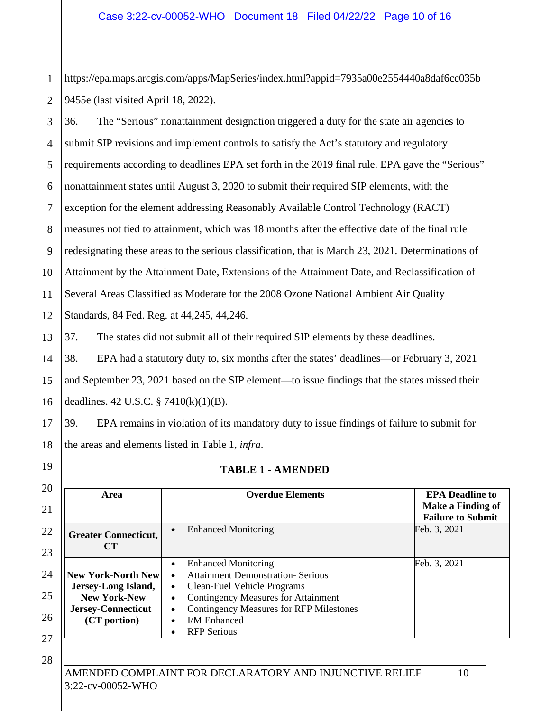1 2 https://epa.maps.arcgis.com/apps/MapSeries/index.html?appid=7935a00e2554440a8daf6cc035b 9455e (last visited April 18, 2022).

3 4 5 6 7 8 9 10 11 12 36. The "Serious" nonattainment designation triggered a duty for the state air agencies to submit SIP revisions and implement controls to satisfy the Act's statutory and regulatory requirements according to deadlines EPA set forth in the 2019 final rule. EPA gave the "Serious" nonattainment states until August 3, 2020 to submit their required SIP elements, with the exception for the element addressing Reasonably Available Control Technology (RACT) measures not tied to attainment, which was 18 months after the effective date of the final rule redesignating these areas to the serious classification, that is March 23, 2021. Determinations of Attainment by the Attainment Date, Extensions of the Attainment Date, and Reclassification of Several Areas Classified as Moderate for the 2008 Ozone National Ambient Air Quality Standards, 84 Fed. Reg. at 44,245, 44,246.

13 37. The states did not submit all of their required SIP elements by these deadlines.

14 15 16 38. EPA had a statutory duty to, six months after the states' deadlines—or February 3, 2021 and September 23, 2021 based on the SIP element—to issue findings that the states missed their deadlines. 42 U.S.C. § 7410(k)(1)(B).

17 18 39. EPA remains in violation of its mandatory duty to issue findings of failure to submit for the areas and elements listed in Table 1, *infra*.

### **TABLE 1 - AMENDED**

| Area                                                                                                                 | <b>Overdue Elements</b>                                                                                                                                                                                                                                                      | <b>EPA Deadline to</b><br>Make a Finding of<br><b>Failure to Submit</b> |
|----------------------------------------------------------------------------------------------------------------------|------------------------------------------------------------------------------------------------------------------------------------------------------------------------------------------------------------------------------------------------------------------------------|-------------------------------------------------------------------------|
| <b>Greater Connecticut,</b><br>CT                                                                                    | <b>Enhanced Monitoring</b>                                                                                                                                                                                                                                                   | Feb. 3, 2021                                                            |
| <b>New York-North New</b><br>Jersey-Long Island,<br><b>New York-New</b><br><b>Jersey-Connecticut</b><br>(CT portion) | <b>Enhanced Monitoring</b><br><b>Attainment Demonstration- Serious</b><br>Clean-Fuel Vehicle Programs<br>$\bullet$<br><b>Contingency Measures for Attainment</b><br><b>Contingency Measures for RFP Milestones</b><br><b>I/M Enhanced</b><br>$\bullet$<br><b>RFP</b> Serious | Feb. 3, 2021                                                            |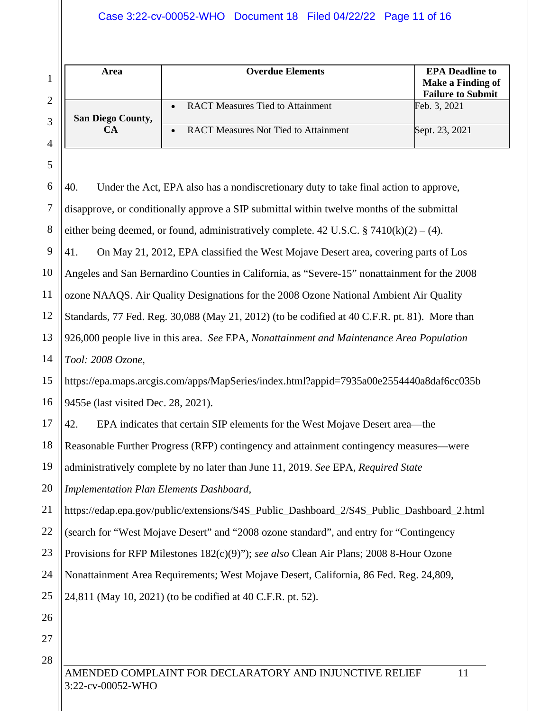Case 3:22-cv-00052-WHO Document 18 Filed 04/22/22 Page 11 of 16

| 1              | Area                                                                                    | <b>Overdue Elements</b>                                                                       | <b>EPA</b> Deadline to<br><b>Make a Finding of</b><br><b>Failure to Submit</b> |  |
|----------------|-----------------------------------------------------------------------------------------|-----------------------------------------------------------------------------------------------|--------------------------------------------------------------------------------|--|
| $\overline{2}$ | <b>San Diego County,</b>                                                                | <b>RACT Measures Tied to Attainment</b>                                                       | Feb. 3, 2021                                                                   |  |
| 3<br>4         | <b>CA</b>                                                                               | <b>RACT Measures Not Tied to Attainment</b><br>$\bullet$                                      | Sept. 23, 2021                                                                 |  |
| 5              |                                                                                         |                                                                                               |                                                                                |  |
| 6              | 40.                                                                                     | Under the Act, EPA also has a nondiscretionary duty to take final action to approve,          |                                                                                |  |
| 7              |                                                                                         | disapprove, or conditionally approve a SIP submittal within twelve months of the submittal    |                                                                                |  |
| 8              |                                                                                         | either being deemed, or found, administratively complete. 42 U.S.C. § 7410(k)(2) – (4).       |                                                                                |  |
| 9              | 41.                                                                                     | On May 21, 2012, EPA classified the West Mojave Desert area, covering parts of Los            |                                                                                |  |
| 10             |                                                                                         | Angeles and San Bernardino Counties in California, as "Severe-15" nonattainment for the 2008  |                                                                                |  |
| 11             |                                                                                         | ozone NAAQS. Air Quality Designations for the 2008 Ozone National Ambient Air Quality         |                                                                                |  |
| 12             |                                                                                         | Standards, 77 Fed. Reg. 30,088 (May 21, 2012) (to be codified at 40 C.F.R. pt. 81). More than |                                                                                |  |
| 13             |                                                                                         | 926,000 people live in this area. See EPA, Nonattainment and Maintenance Area Population      |                                                                                |  |
| 14             | Tool: 2008 Ozone,                                                                       |                                                                                               |                                                                                |  |
| 15             | https://epa.maps.arcgis.com/apps/MapSeries/index.html?appid=7935a00e2554440a8daf6cc035b |                                                                                               |                                                                                |  |
| 16             | 9455e (last visited Dec. 28, 2021).                                                     |                                                                                               |                                                                                |  |
| 17             | 42.                                                                                     | EPA indicates that certain SIP elements for the West Mojave Desert area—the                   |                                                                                |  |
| 18             |                                                                                         | Reasonable Further Progress (RFP) contingency and attainment contingency measures—were        |                                                                                |  |
| 19             | administratively complete by no later than June 11, 2019. See EPA, Required State       |                                                                                               |                                                                                |  |
| 20             | <b>Implementation Plan Elements Dashboard,</b>                                          |                                                                                               |                                                                                |  |
| 21             |                                                                                         | https://edap.epa.gov/public/extensions/S4S_Public_Dashboard_2/S4S_Public_Dashboard_2.html     |                                                                                |  |
| 22             |                                                                                         | (search for "West Mojave Desert" and "2008 ozone standard", and entry for "Contingency        |                                                                                |  |
| 23             | Provisions for RFP Milestones 182(c)(9)"); see also Clean Air Plans; 2008 8-Hour Ozone  |                                                                                               |                                                                                |  |
| 24             |                                                                                         | Nonattainment Area Requirements; West Mojave Desert, California, 86 Fed. Reg. 24,809,         |                                                                                |  |
| 25             |                                                                                         | 24,811 (May 10, 2021) (to be codified at 40 C.F.R. pt. 52).                                   |                                                                                |  |
| 26             |                                                                                         |                                                                                               |                                                                                |  |
| 27             |                                                                                         |                                                                                               |                                                                                |  |
| 28             |                                                                                         | AMENDED COMPLAINT FOR DECLARATORY AND INJUNCTIVE RELIEF                                       | 11                                                                             |  |

 $3:22$ -cv-00052-WHO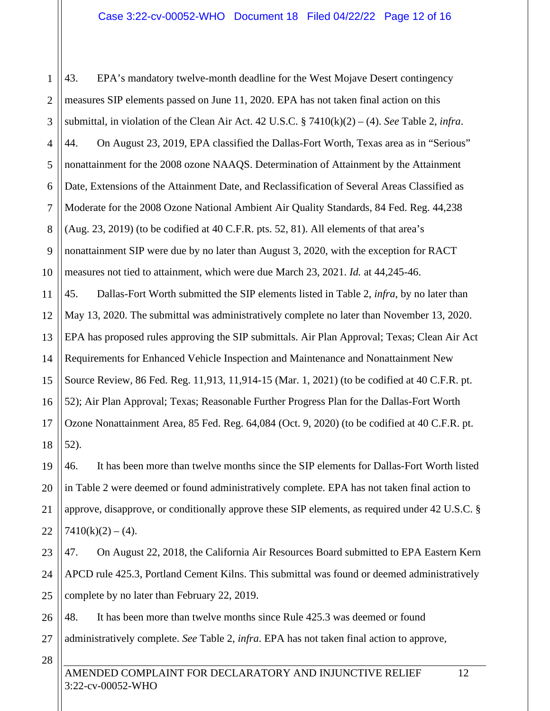1 2 3 4 5 6 7 8 9 10 11 12 13 14 15 16 17 43. EPA's mandatory twelve-month deadline for the West Mojave Desert contingency measures SIP elements passed on June 11, 2020. EPA has not taken final action on this submittal, in violation of the Clean Air Act. 42 U.S.C. § 7410(k)(2) – (4). *See* Table 2, *infra*. 44. On August 23, 2019, EPA classified the Dallas-Fort Worth, Texas area as in "Serious" nonattainment for the 2008 ozone NAAQS. Determination of Attainment by the Attainment Date, Extensions of the Attainment Date, and Reclassification of Several Areas Classified as Moderate for the 2008 Ozone National Ambient Air Quality Standards, 84 Fed. Reg. 44,238 (Aug. 23, 2019) (to be codified at 40 C.F.R. pts. 52, 81). All elements of that area's nonattainment SIP were due by no later than August 3, 2020, with the exception for RACT measures not tied to attainment, which were due March 23, 2021. *Id.* at 44,245-46. 45. Dallas-Fort Worth submitted the SIP elements listed in Table 2, *infra*, by no later than May 13, 2020. The submittal was administratively complete no later than November 13, 2020. EPA has proposed rules approving the SIP submittals. Air Plan Approval; Texas; Clean Air Act Requirements for Enhanced Vehicle Inspection and Maintenance and Nonattainment New Source Review, 86 Fed. Reg. 11,913, 11,914-15 (Mar. 1, 2021) (to be codified at 40 C.F.R. pt. 52); Air Plan Approval; Texas; Reasonable Further Progress Plan for the Dallas-Fort Worth Ozone Nonattainment Area, 85 Fed. Reg. 64,084 (Oct. 9, 2020) (to be codified at 40 C.F.R. pt.

18 52).

19 20 21 22 46. It has been more than twelve months since the SIP elements for Dallas-Fort Worth listed in Table 2 were deemed or found administratively complete. EPA has not taken final action to approve, disapprove, or conditionally approve these SIP elements, as required under 42 U.S.C. §  $7410(k)(2) - (4)$ .

23 24 25 47. On August 22, 2018, the California Air Resources Board submitted to EPA Eastern Kern APCD rule 425.3, Portland Cement Kilns. This submittal was found or deemed administratively complete by no later than February 22, 2019.

26 48. It has been more than twelve months since Rule 425.3 was deemed or found administratively complete. *See* Table 2, *infra*. EPA has not taken final action to approve,

28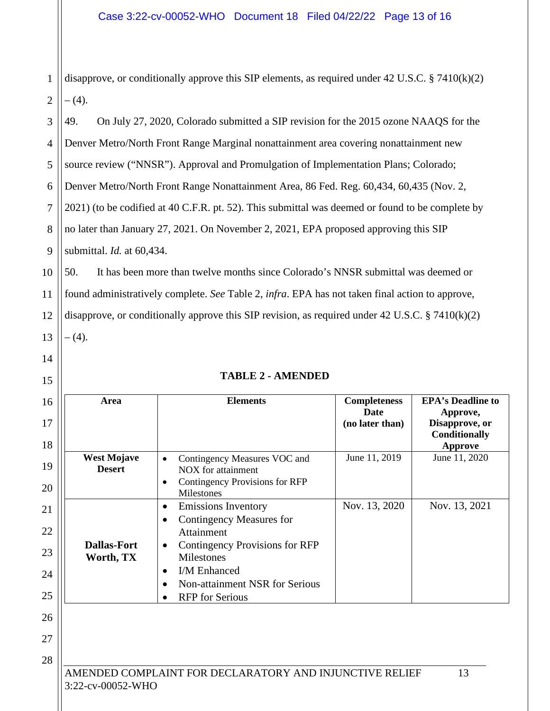1 2 disapprove, or conditionally approve this SIP elements, as required under 42 U.S.C. § 7410(k)(2)  $- (4)$ .

3 4 5 6 7 8 9 49. On July 27, 2020, Colorado submitted a SIP revision for the 2015 ozone NAAQS for the Denver Metro/North Front Range Marginal nonattainment area covering nonattainment new source review ("NNSR"). Approval and Promulgation of Implementation Plans; Colorado; Denver Metro/North Front Range Nonattainment Area, 86 Fed. Reg. 60,434, 60,435 (Nov. 2, 2021) (to be codified at 40 C.F.R. pt. 52). This submittal was deemed or found to be complete by no later than January 27, 2021. On November 2, 2021, EPA proposed approving this SIP submittal. *Id.* at 60,434.

10 11 12 13 50. It has been more than twelve months since Colorado's NNSR submittal was deemed or found administratively complete. *See* Table 2, *infra*. EPA has not taken final action to approve, disapprove, or conditionally approve this SIP revision, as required under 42 U.S.C. § 7410(k)(2) – (4).

| $\mathbf 1$<br>$\overline{4}$ |  |
|-------------------------------|--|
| 5<br>I                        |  |
|                               |  |

|  |  |  |  |  |  | <b>TABLE 2 - AMENDED</b> |  |
|--|--|--|--|--|--|--------------------------|--|
|--|--|--|--|--|--|--------------------------|--|

| Area                                | <b>Elements</b>                                                                                                                                                                                                                   | <b>Completeness</b><br>Date<br>(no later than) | <b>EPA's Deadline to</b><br>Approve,<br>Disapprove, or<br>Conditionally<br><b>Approve</b> |
|-------------------------------------|-----------------------------------------------------------------------------------------------------------------------------------------------------------------------------------------------------------------------------------|------------------------------------------------|-------------------------------------------------------------------------------------------|
| <b>West Mojave</b><br><b>Desert</b> | Contingency Measures VOC and<br>$\bullet$<br>NOX for attainment<br>Contingency Provisions for RFP<br>$\bullet$<br>Milestones                                                                                                      | June 11, 2019                                  | June 11, 2020                                                                             |
| <b>Dallas-Fort</b><br>Worth, TX     | <b>Emissions Inventory</b><br>$\bullet$<br><b>Contingency Measures for</b><br>Attainment<br>Contingency Provisions for RFP<br>Milestones<br>I/M Enhanced<br>$\bullet$<br>Non-attainment NSR for Serious<br><b>RFP</b> for Serious | Nov. 13, 2020                                  | Nov. 13, 2021                                                                             |
| 3:22-cv-00052-WHO                   | AMENDED COMPLAINT FOR DECLARATORY AND INJUNCTIVE RELIEF                                                                                                                                                                           |                                                | 13                                                                                        |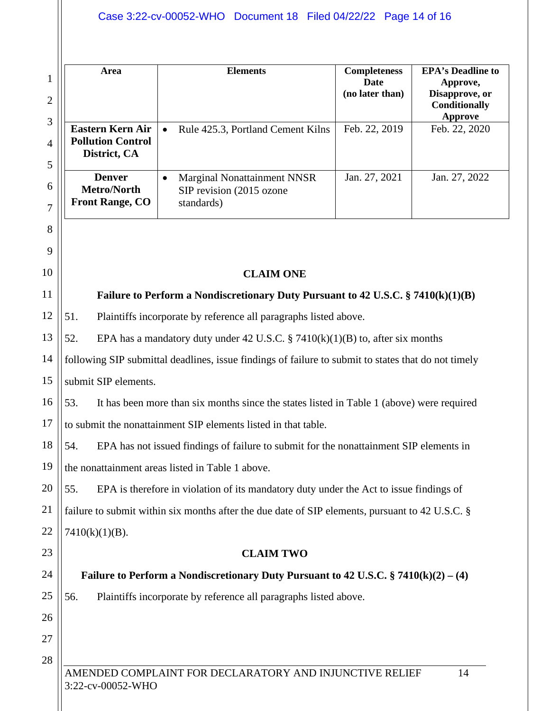|                     | Area                                                                                            | <b>Elements</b>                                                                                     | <b>Completeness</b>            | <b>EPA's Deadline to</b>                    |
|---------------------|-------------------------------------------------------------------------------------------------|-----------------------------------------------------------------------------------------------------|--------------------------------|---------------------------------------------|
| 1<br>$\overline{2}$ |                                                                                                 |                                                                                                     | <b>Date</b><br>(no later than) | Approve,<br>Disapprove, or<br>Conditionally |
| 3                   | <b>Eastern Kern Air</b>                                                                         | Rule 425.3, Portland Cement Kilns<br>$\bullet$                                                      | Feb. 22, 2019                  | <b>Approve</b><br>Feb. 22, 2020             |
| 4                   | <b>Pollution Control</b>                                                                        |                                                                                                     |                                |                                             |
| 5                   | District, CA                                                                                    |                                                                                                     |                                |                                             |
| 6                   | <b>Denver</b><br><b>Metro/North</b>                                                             | <b>Marginal Nonattainment NNSR</b><br>$\bullet$<br>SIP revision (2015 ozone                         | Jan. 27, 2021                  | Jan. 27, 2022                               |
| 7                   | <b>Front Range, CO</b>                                                                          | standards)                                                                                          |                                |                                             |
| 8                   |                                                                                                 |                                                                                                     |                                |                                             |
| 9                   |                                                                                                 |                                                                                                     |                                |                                             |
| 10                  |                                                                                                 | <b>CLAIM ONE</b>                                                                                    |                                |                                             |
| 11                  |                                                                                                 | Failure to Perform a Nondiscretionary Duty Pursuant to 42 U.S.C. $\S$ 7410(k)(1)(B)                 |                                |                                             |
| 12                  | 51.                                                                                             | Plaintiffs incorporate by reference all paragraphs listed above.                                    |                                |                                             |
| 13                  | 52.                                                                                             | EPA has a mandatory duty under 42 U.S.C. § 7410 $(k)(1)(B)$ to, after six months                    |                                |                                             |
| 14                  |                                                                                                 | following SIP submittal deadlines, issue findings of failure to submit to states that do not timely |                                |                                             |
| 15                  | submit SIP elements.                                                                            |                                                                                                     |                                |                                             |
| 16                  | 53.                                                                                             | It has been more than six months since the states listed in Table 1 (above) were required           |                                |                                             |
| 17                  |                                                                                                 | to submit the nonattainment SIP elements listed in that table.                                      |                                |                                             |
| 18                  | 54.                                                                                             | EPA has not issued findings of failure to submit for the nonattainment SIP elements in              |                                |                                             |
| 19                  |                                                                                                 | the nonattainment areas listed in Table 1 above.                                                    |                                |                                             |
| 20                  | 55.                                                                                             | EPA is therefore in violation of its mandatory duty under the Act to issue findings of              |                                |                                             |
| 21                  | failure to submit within six months after the due date of SIP elements, pursuant to 42 U.S.C. § |                                                                                                     |                                |                                             |
| 22                  | $7410(k)(1)(B)$ .                                                                               |                                                                                                     |                                |                                             |
| 23                  |                                                                                                 | <b>CLAIM TWO</b>                                                                                    |                                |                                             |
| 24                  |                                                                                                 | Failure to Perform a Nondiscretionary Duty Pursuant to 42 U.S.C. $\S$ 7410(k)(2) – (4)              |                                |                                             |
| 25                  | 56.                                                                                             | Plaintiffs incorporate by reference all paragraphs listed above.                                    |                                |                                             |
| 26                  |                                                                                                 |                                                                                                     |                                |                                             |
| 27                  |                                                                                                 |                                                                                                     |                                |                                             |
| 28                  |                                                                                                 |                                                                                                     |                                |                                             |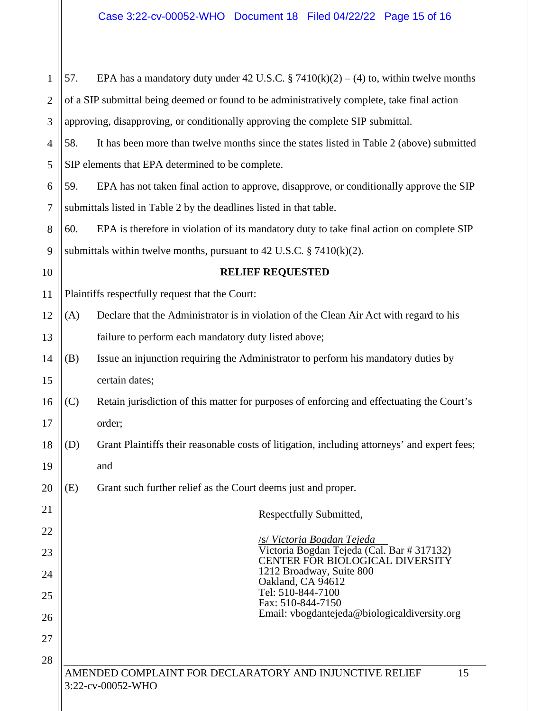| $\mathbf{1}$   | 57. | EPA has a mandatory duty under 42 U.S.C. § 7410(k)(2) – (4) to, within twelve months         |
|----------------|-----|----------------------------------------------------------------------------------------------|
| $\overline{2}$ |     | of a SIP submittal being deemed or found to be administratively complete, take final action  |
| 3              |     | approving, disapproving, or conditionally approving the complete SIP submittal.              |
| $\overline{4}$ | 58. | It has been more than twelve months since the states listed in Table 2 (above) submitted     |
| 5              |     | SIP elements that EPA determined to be complete.                                             |
| 6              | 59. | EPA has not taken final action to approve, disapprove, or conditionally approve the SIP      |
| 7              |     | submittals listed in Table 2 by the deadlines listed in that table.                          |
| 8              | 60. | EPA is therefore in violation of its mandatory duty to take final action on complete SIP     |
| 9              |     | submittals within twelve months, pursuant to 42 U.S.C. $\S$ 7410(k)(2).                      |
| 10             |     | <b>RELIEF REQUESTED</b>                                                                      |
| 11             |     | Plaintiffs respectfully request that the Court:                                              |
| 12             | (A) | Declare that the Administrator is in violation of the Clean Air Act with regard to his       |
| 13             |     | failure to perform each mandatory duty listed above;                                         |
| 14             | (B) | Issue an injunction requiring the Administrator to perform his mandatory duties by           |
| 15             |     | certain dates;                                                                               |
| 16             | (C) | Retain jurisdiction of this matter for purposes of enforcing and effectuating the Court's    |
| 17             |     | order;                                                                                       |
| 18             | (D) | Grant Plaintiffs their reasonable costs of litigation, including attorneys' and expert fees; |
| 19             |     | and                                                                                          |
| 20             | (E) | Grant such further relief as the Court deems just and proper.                                |
| 21             |     | Respectfully Submitted,                                                                      |
| 22             |     | <u>/s/ Victoria Bogdan Tejeda</u>                                                            |
| 23             |     | Victoria Bogdan Tejeda (Cal. Bar # 317132)<br>CENTER FÖR BIOLOGICAL DIVERSITY                |
| 24             |     | 1212 Broadway, Suite 800<br>Oakland, CA 94612                                                |
| 25             |     | Tel: 510-844-7100<br>Fax: 510-844-7150                                                       |
| 26             |     | Email: vbogdantejeda@biologicaldiversity.org                                                 |
| 27             |     |                                                                                              |
| 28             |     |                                                                                              |
|                |     | AMENDED COMPLAINT FOR DECLARATORY AND INJUNCTIVE RELIEF<br>15<br>3:22-cv-00052-WHO           |
|                |     |                                                                                              |